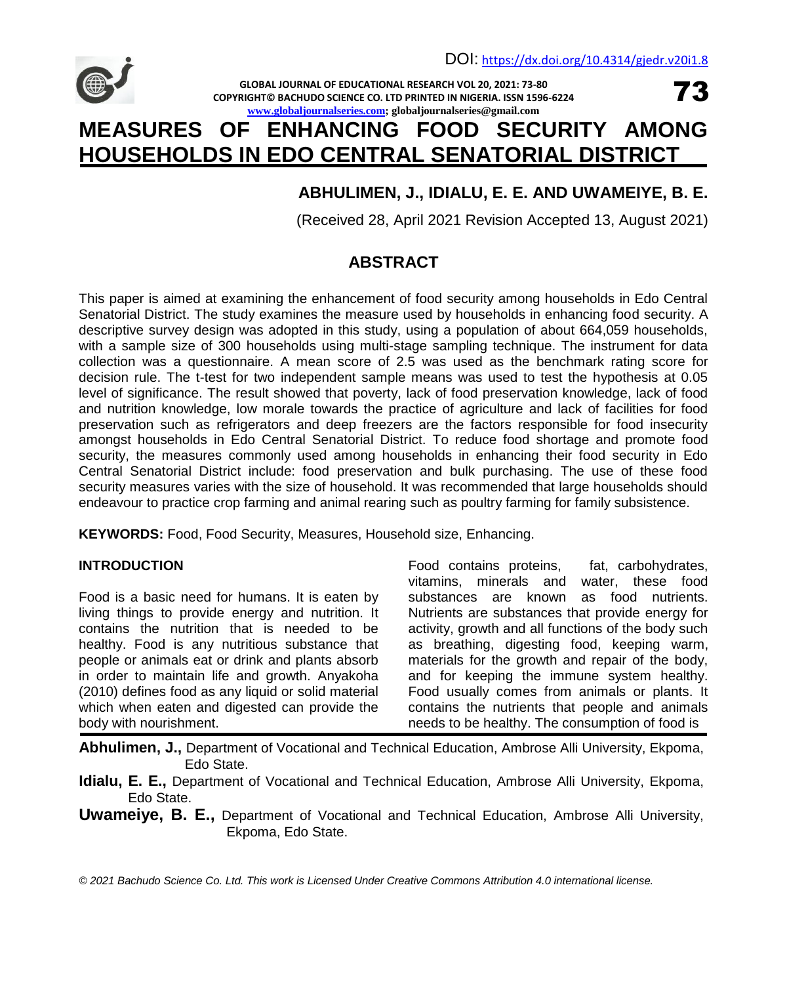**GLOBAL JOURNAL OF EDUCATIONAL RESEARCH VOL 20, 2021: 73-80 COPYRIGHT© BACHUDO SCIENCE CO. LTD PRINTED IN NIGERIA. ISSN 1596-6224 [www.globaljournalseries.com;](http://www.globaljournalseries.com/) globaljournalseries@gmail.com**

73

# **MEASURES OF ENHANCING FOOD SECURITY AMONG HOUSEHOLDS IN EDO CENTRAL SENATORIAL DISTRICT**

# **ABHULIMEN, J., IDIALU, E. E. AND UWAMEIYE, B. E.**

(Received 28, April 2021 Revision Accepted 13, August 2021)

# **ABSTRACT**

This paper is aimed at examining the enhancement of food security among households in Edo Central Senatorial District. The study examines the measure used by households in enhancing food security. A descriptive survey design was adopted in this study, using a population of about 664,059 households, with a sample size of 300 households using multi-stage sampling technique. The instrument for data collection was a questionnaire. A mean score of 2.5 was used as the benchmark rating score for decision rule. The t-test for two independent sample means was used to test the hypothesis at 0.05 level of significance. The result showed that poverty, lack of food preservation knowledge, lack of food and nutrition knowledge, low morale towards the practice of agriculture and lack of facilities for food preservation such as refrigerators and deep freezers are the factors responsible for food insecurity amongst households in Edo Central Senatorial District. To reduce food shortage and promote food security, the measures commonly used among households in enhancing their food security in Edo Central Senatorial District include: food preservation and bulk purchasing. The use of these food security measures varies with the size of household. It was recommended that large households should endeavour to practice crop farming and animal rearing such as poultry farming for family subsistence.

**KEYWORDS:** Food, Food Security, Measures, Household size, Enhancing.

# **INTRODUCTION**

Food is a basic need for humans. It is eaten by living things to provide energy and nutrition. It contains the nutrition that is needed to be healthy. Food is any nutritious substance that people or animals eat or drink and plants absorb in order to maintain life and growth. Anyakoha (2010) defines food as any liquid or solid material which when eaten and digested can provide the body with nourishment.

Food contains proteins, fat, carbohydrates, vitamins, minerals and water, these food substances are known as food nutrients. Nutrients are substances that provide energy for activity, growth and all functions of the body such as breathing, digesting food, keeping warm, materials for the growth and repair of the body, and for keeping the immune system healthy. Food usually comes from animals or plants. It contains the nutrients that people and animals needs to be healthy. The consumption of food is

**Abhulimen, J.,** Department of Vocational and Technical Education, Ambrose Alli University, Ekpoma, Edo State.

**Idialu, E. E.,** Department of Vocational and Technical Education, Ambrose Alli University, Ekpoma, Edo State.

**Uwameiye, B. E.,** Department of Vocational and Technical Education, Ambrose Alli University, Ekpoma, Edo State.

*© 2021 Bachudo Science Co. Ltd. This work is Licensed Under Creative Commons Attribution 4.0 international license.*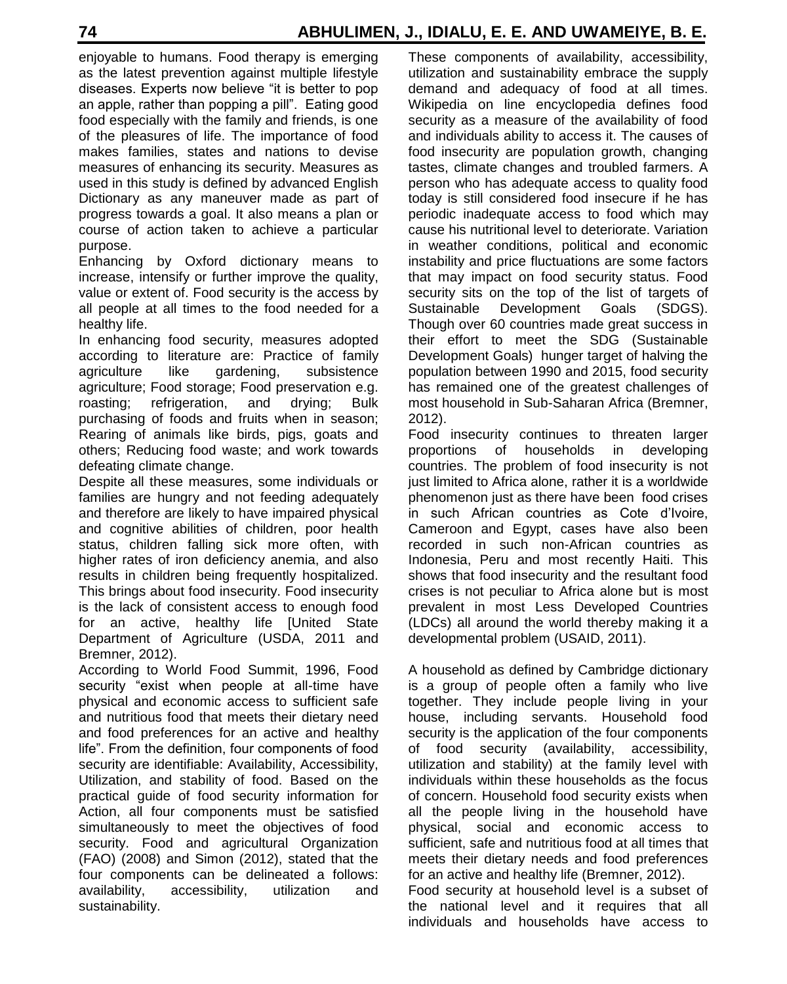enjoyable to humans. Food therapy is emerging as the latest prevention against multiple lifestyle diseases. Experts now believe "it is better to pop an apple, rather than popping a pill". Eating good food especially with the family and friends, is one of the pleasures of life. The importance of food makes families, states and nations to devise measures of enhancing its security. Measures as used in this study is defined by advanced English Dictionary as any maneuver made as part of progress towards a goal. It also means a plan or course of action taken to achieve a particular purpose.

Enhancing by Oxford dictionary means to increase, intensify or further improve the quality, value or extent of. Food security is the access by all people at all times to the food needed for a healthy life.

In enhancing food security, measures adopted according to literature are: Practice of family agriculture like gardening, subsistence agriculture; Food storage; Food preservation e.g. roasting; refrigeration, and drying; Bulk purchasing of foods and fruits when in season; Rearing of animals like birds, pigs, goats and others; Reducing food waste; and work towards defeating climate change.

Despite all these measures, some individuals or families are hungry and not feeding adequately and therefore are likely to have impaired physical and cognitive abilities of children, poor health status, children falling sick more often, with higher rates of iron deficiency anemia, and also results in children being frequently hospitalized. This brings about food insecurity. Food insecurity is the lack of consistent access to enough food for an active, healthy life [United State Department of Agriculture (USDA, 2011 and Bremner, 2012).

According to World Food Summit, 1996, Food security "exist when people at all-time have physical and economic access to sufficient safe and nutritious food that meets their dietary need and food preferences for an active and healthy life". From the definition, four components of food security are identifiable: Availability, Accessibility, Utilization, and stability of food. Based on the practical guide of food security information for Action, all four components must be satisfied simultaneously to meet the objectives of food security. Food and agricultural Organization (FAO) (2008) and Simon (2012), stated that the four components can be delineated a follows: availability, accessibility, utilization and sustainability.

These components of availability, accessibility, utilization and sustainability embrace the supply demand and adequacy of food at all times. Wikipedia on line encyclopedia defines food security as a measure of the availability of food and individuals ability to access it. The causes of food insecurity are population growth, changing tastes, climate changes and troubled farmers. A person who has adequate access to quality food today is still considered food insecure if he has periodic inadequate access to food which may cause his nutritional level to deteriorate. Variation in weather conditions, political and economic instability and price fluctuations are some factors that may impact on food security status. Food security sits on the top of the list of targets of Sustainable Development Goals (SDGS). Though over 60 countries made great success in their effort to meet the SDG (Sustainable Development Goals) hunger target of halving the population between 1990 and 2015, food security has remained one of the greatest challenges of most household in Sub-Saharan Africa (Bremner, 2012).

Food insecurity continues to threaten larger proportions of households in developing countries. The problem of food insecurity is not just limited to Africa alone, rather it is a worldwide phenomenon just as there have been food crises in such African countries as Cote d'Ivoire, Cameroon and Egypt, cases have also been recorded in such non-African countries as Indonesia, Peru and most recently Haiti. This shows that food insecurity and the resultant food crises is not peculiar to Africa alone but is most prevalent in most Less Developed Countries (LDCs) all around the world thereby making it a developmental problem (USAID, 2011).

A household as defined by Cambridge dictionary is a group of people often a family who live together. They include people living in your house, including servants. Household food security is the application of the four components of food security (availability, accessibility, utilization and stability) at the family level with individuals within these households as the focus of concern. Household food security exists when all the people living in the household have physical, social and economic access to sufficient, safe and nutritious food at all times that meets their dietary needs and food preferences for an active and healthy life (Bremner, 2012).

Food security at household level is a subset of the national level and it requires that all individuals and households have access to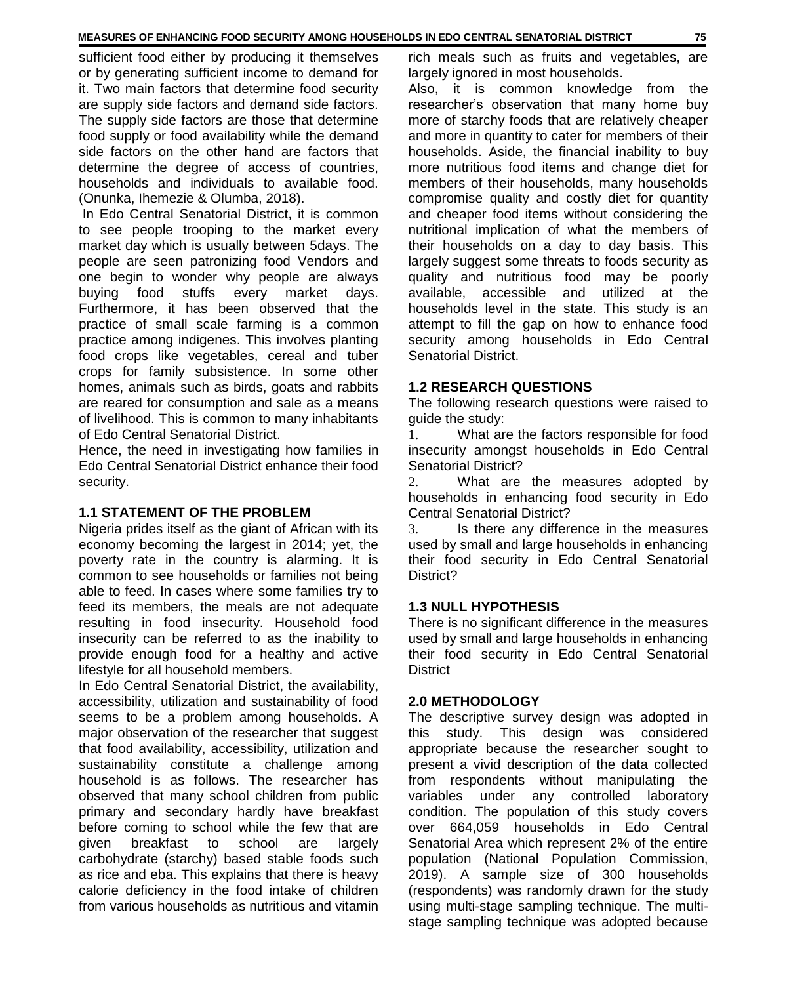sufficient food either by producing it themselves or by generating sufficient income to demand for it. Two main factors that determine food security are supply side factors and demand side factors. The supply side factors are those that determine food supply or food availability while the demand side factors on the other hand are factors that determine the degree of access of countries, households and individuals to available food. (Onunka, Ihemezie & Olumba, 2018).

In Edo Central Senatorial District, it is common to see people trooping to the market every market day which is usually between 5days. The people are seen patronizing food Vendors and one begin to wonder why people are always buying food stuffs every market days. Furthermore, it has been observed that the practice of small scale farming is a common practice among indigenes. This involves planting food crops like vegetables, cereal and tuber crops for family subsistence. In some other homes, animals such as birds, goats and rabbits are reared for consumption and sale as a means of livelihood. This is common to many inhabitants of Edo Central Senatorial District.

Hence, the need in investigating how families in Edo Central Senatorial District enhance their food security.

#### **1.1 STATEMENT OF THE PROBLEM**

Nigeria prides itself as the giant of African with its economy becoming the largest in 2014; yet, the poverty rate in the country is alarming. It is common to see households or families not being able to feed. In cases where some families try to feed its members, the meals are not adequate resulting in food insecurity. Household food insecurity can be referred to as the inability to provide enough food for a healthy and active lifestyle for all household members.

In Edo Central Senatorial District, the availability, accessibility, utilization and sustainability of food seems to be a problem among households. A major observation of the researcher that suggest that food availability, accessibility, utilization and sustainability constitute a challenge among household is as follows. The researcher has observed that many school children from public primary and secondary hardly have breakfast before coming to school while the few that are given breakfast to school are largely carbohydrate (starchy) based stable foods such as rice and eba. This explains that there is heavy calorie deficiency in the food intake of children from various households as nutritious and vitamin rich meals such as fruits and vegetables, are largely ignored in most households.

Also, it is common knowledge from the researcher's observation that many home buy more of starchy foods that are relatively cheaper and more in quantity to cater for members of their households. Aside, the financial inability to buy more nutritious food items and change diet for members of their households, many households compromise quality and costly diet for quantity and cheaper food items without considering the nutritional implication of what the members of their households on a day to day basis. This largely suggest some threats to foods security as quality and nutritious food may be poorly available, accessible and utilized at the households level in the state. This study is an attempt to fill the gap on how to enhance food security among households in Edo Central Senatorial District.

#### **1.2 RESEARCH QUESTIONS**

The following research questions were raised to guide the study:

1. What are the factors responsible for food insecurity amongst households in Edo Central Senatorial District?

2. What are the measures adopted by households in enhancing food security in Edo Central Senatorial District?

3. Is there any difference in the measures used by small and large households in enhancing their food security in Edo Central Senatorial District?

#### **1.3 NULL HYPOTHESIS**

There is no significant difference in the measures used by small and large households in enhancing their food security in Edo Central Senatorial **District** 

#### **2.0 METHODOLOGY**

The descriptive survey design was adopted in this study. This design was considered appropriate because the researcher sought to present a vivid description of the data collected from respondents without manipulating the variables under any controlled laboratory condition. The population of this study covers over 664,059 households in Edo Central Senatorial Area which represent 2% of the entire population (National Population Commission, 2019). A sample size of 300 households (respondents) was randomly drawn for the study using multi-stage sampling technique. The multistage sampling technique was adopted because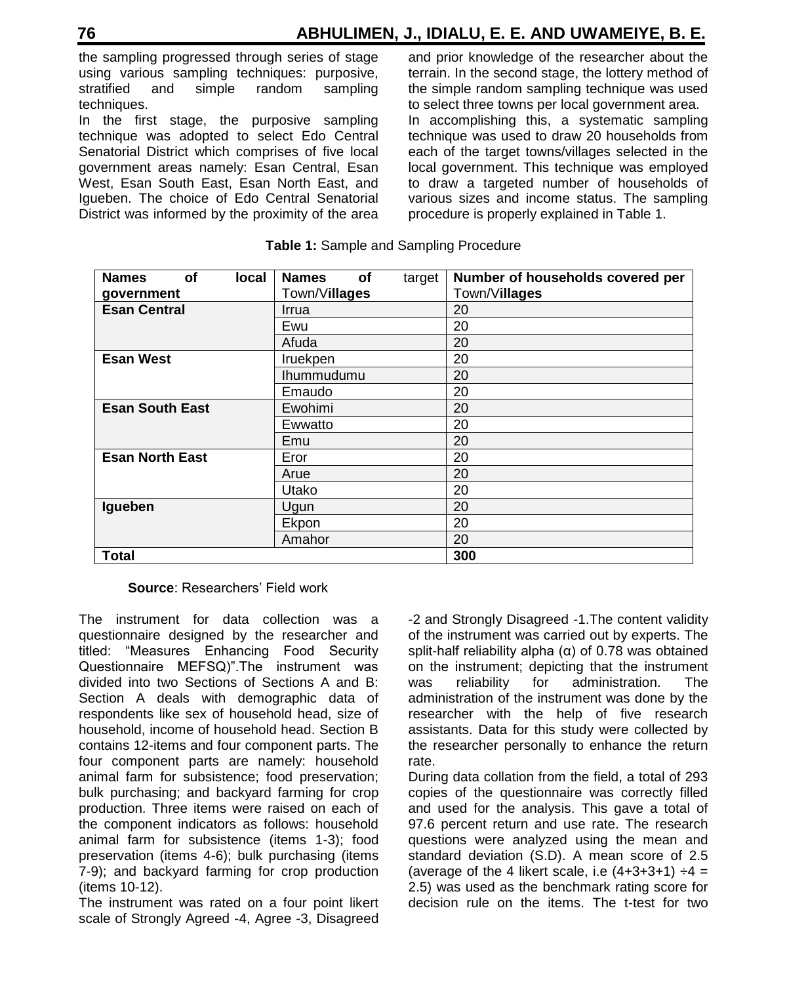the sampling progressed through series of stage using various sampling techniques: purposive, stratified and simple random sampling techniques.

In the first stage, the purposive sampling technique was adopted to select Edo Central Senatorial District which comprises of five local government areas namely: Esan Central, Esan West, Esan South East, Esan North East, and Igueben. The choice of Edo Central Senatorial District was informed by the proximity of the area

and prior knowledge of the researcher about the terrain. In the second stage, the lottery method of the simple random sampling technique was used to select three towns per local government area. In accomplishing this, a systematic sampling technique was used to draw 20 households from each of the target towns/villages selected in the local government. This technique was employed to draw a targeted number of households of various sizes and income status. The sampling procedure is properly explained in Table 1.

| <b>Names</b><br><b>of</b><br><b>local</b> | <b>Names</b><br>οf<br>target | Number of households covered per |
|-------------------------------------------|------------------------------|----------------------------------|
| government                                | Town/Villages                | Town/Villages                    |
| <b>Esan Central</b>                       | Irrua                        | 20                               |
|                                           | Ewu                          | 20                               |
|                                           | Afuda                        | 20                               |
| <b>Esan West</b>                          | Iruekpen                     | 20                               |
|                                           | Ihummudumu                   | 20                               |
|                                           | Emaudo                       | 20                               |
| <b>Esan South East</b>                    | Ewohimi                      | 20                               |
|                                           | Ewwatto                      | 20                               |
|                                           | Emu                          | 20                               |
| <b>Esan North East</b>                    | Eror                         | 20                               |
|                                           | Arue                         | 20                               |
|                                           | Utako                        | 20                               |
| Igueben                                   | Ugun                         | 20                               |
|                                           | Ekpon                        | 20                               |
|                                           | Amahor                       | 20                               |
| <b>Total</b>                              |                              | 300                              |

#### **Table 1:** Sample and Sampling Procedure

# **Source**: Researchers' Field work

The instrument for data collection was a questionnaire designed by the researcher and titled: "Measures Enhancing Food Security Questionnaire MEFSQ)".The instrument was divided into two Sections of Sections A and B: Section A deals with demographic data of respondents like sex of household head, size of household, income of household head. Section B contains 12-items and four component parts. The four component parts are namely: household animal farm for subsistence; food preservation; bulk purchasing; and backyard farming for crop production. Three items were raised on each of the component indicators as follows: household animal farm for subsistence (items 1-3); food preservation (items 4-6); bulk purchasing (items 7-9); and backyard farming for crop production (items 10-12).

The instrument was rated on a four point likert scale of Strongly Agreed -4, Agree -3, Disagreed

-2 and Strongly Disagreed -1.The content validity of the instrument was carried out by experts. The split-half reliability alpha  $(α)$  of 0.78 was obtained on the instrument; depicting that the instrument was reliability for administration. The administration of the instrument was done by the researcher with the help of five research assistants. Data for this study were collected by the researcher personally to enhance the return rate.

During data collation from the field, a total of 293 copies of the questionnaire was correctly filled and used for the analysis. This gave a total of 97.6 percent return and use rate. The research questions were analyzed using the mean and standard deviation (S.D). A mean score of 2.5 (average of the 4 likert scale, i.e  $(4+3+3+1) \div 4 =$ 2.5) was used as the benchmark rating score for decision rule on the items. The t-test for two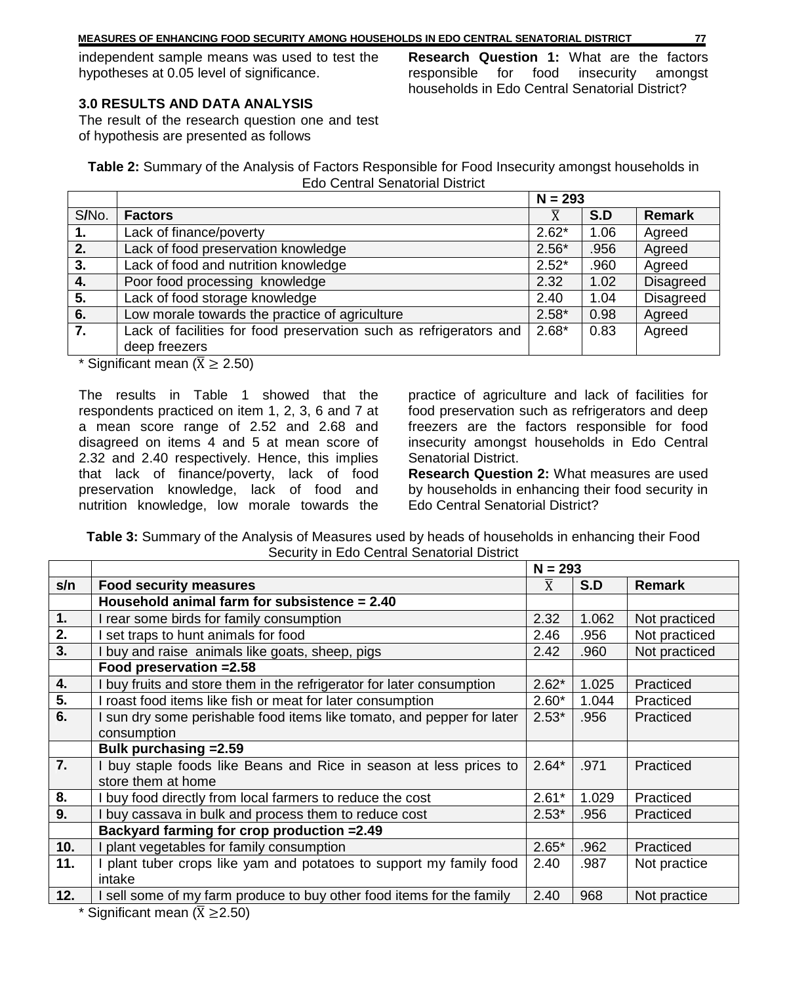independent sample means was used to test the hypotheses at 0.05 level of significance.

**Research Question 1:** What are the factors responsible for food insecurity amongst households in Edo Central Senatorial District?

# **3.0 RESULTS AND DATA ANALYSIS**

The result of the research question one and test of hypothesis are presented as follows

**Table 2:** Summary of the Analysis of Factors Responsible for Food Insecurity amongst households in Edo Central Senatorial District

|       |                                                                    | $N = 293$ |      |                  |
|-------|--------------------------------------------------------------------|-----------|------|------------------|
| S/No. | <b>Factors</b>                                                     |           | S.D  | Remark           |
| 1.    | Lack of finance/poverty                                            | $2.62*$   | 1.06 | Agreed           |
| 2.    | Lack of food preservation knowledge                                | $2.56*$   | .956 | Agreed           |
| 3.    | Lack of food and nutrition knowledge                               | $2.52*$   | .960 | Agreed           |
| 4.    | Poor food processing knowledge                                     | 2.32      | 1.02 | <b>Disagreed</b> |
| 5.    | Lack of food storage knowledge                                     | 2.40      | 1.04 | <b>Disagreed</b> |
| 6.    | Low morale towards the practice of agriculture                     | $2.58*$   | 0.98 | Agreed           |
| 7.    | Lack of facilities for food preservation such as refrigerators and | $2.68*$   | 0.83 | Agreed           |
|       | deep freezers                                                      |           |      |                  |
|       |                                                                    |           |      |                  |

\* Significant mean ( $\bar{X} \ge 2.50$ )

The results in Table 1 showed that the respondents practiced on item 1, 2, 3, 6 and 7 at a mean score range of 2.52 and 2.68 and disagreed on items 4 and 5 at mean score of 2.32 and 2.40 respectively. Hence, this implies that lack of finance/poverty, lack of food preservation knowledge, lack of food and nutrition knowledge, low morale towards the

practice of agriculture and lack of facilities for food preservation such as refrigerators and deep freezers are the factors responsible for food insecurity amongst households in Edo Central Senatorial District.

**Research Question 2:** What measures are used by households in enhancing their food security in Edo Central Senatorial District?

**Table 3:** Summary of the Analysis of Measures used by heads of households in enhancing their Food Security in Edo Central Senatorial District

|                                           |                                                                       | $N = 293$      |       |               |
|-------------------------------------------|-----------------------------------------------------------------------|----------------|-------|---------------|
| s/n                                       | <b>Food security measures</b>                                         | $\overline{X}$ | S.D   | <b>Remark</b> |
|                                           | Household animal farm for subsistence $= 2.40$                        |                |       |               |
| 1.                                        | rear some birds for family consumption                                | 2.32           | 1.062 | Not practiced |
| $\overline{2}$ .                          | set traps to hunt animals for food                                    | 2.46           | .956  | Not practiced |
| 3.                                        | buy and raise animals like goats, sheep, pigs                         | 2.42           | .960  | Not practiced |
|                                           | Food preservation = 2.58                                              |                |       |               |
| 4.                                        | buy fruits and store them in the refrigerator for later consumption   | $2.62*$        | 1.025 | Practiced     |
| $\overline{5}$ .                          | roast food items like fish or meat for later consumption              | $2.60*$        | 1.044 | Practiced     |
| 6.                                        | sun dry some perishable food items like tomato, and pepper for later  | $2.53*$        | .956  | Practiced     |
|                                           | consumption                                                           |                |       |               |
|                                           | Bulk purchasing = 2.59                                                |                |       |               |
| 7.                                        | I buy staple foods like Beans and Rice in season at less prices to    | $2.64*$        | .971  | Practiced     |
|                                           | store them at home                                                    |                |       |               |
| 8.                                        | I buy food directly from local farmers to reduce the cost             | $2.61*$        | 1.029 | Practiced     |
| 9.                                        | buy cassava in bulk and process them to reduce cost                   | $2.53*$        | .956  | Practiced     |
|                                           | Backyard farming for crop production = 2.49                           |                |       |               |
| 10.                                       | plant vegetables for family consumption                               | $2.65*$        | .962  | Practiced     |
| 11.                                       | plant tuber crops like yam and potatoes to support my family food     | 2.40           | .987  | Not practice  |
|                                           | intake                                                                |                |       |               |
| 12.                                       | I sell some of my farm produce to buy other food items for the family | 2.40           | 968   | Not practice  |
| * Significant mean ( $\bar{X} \ge 2.50$ ) |                                                                       |                |       |               |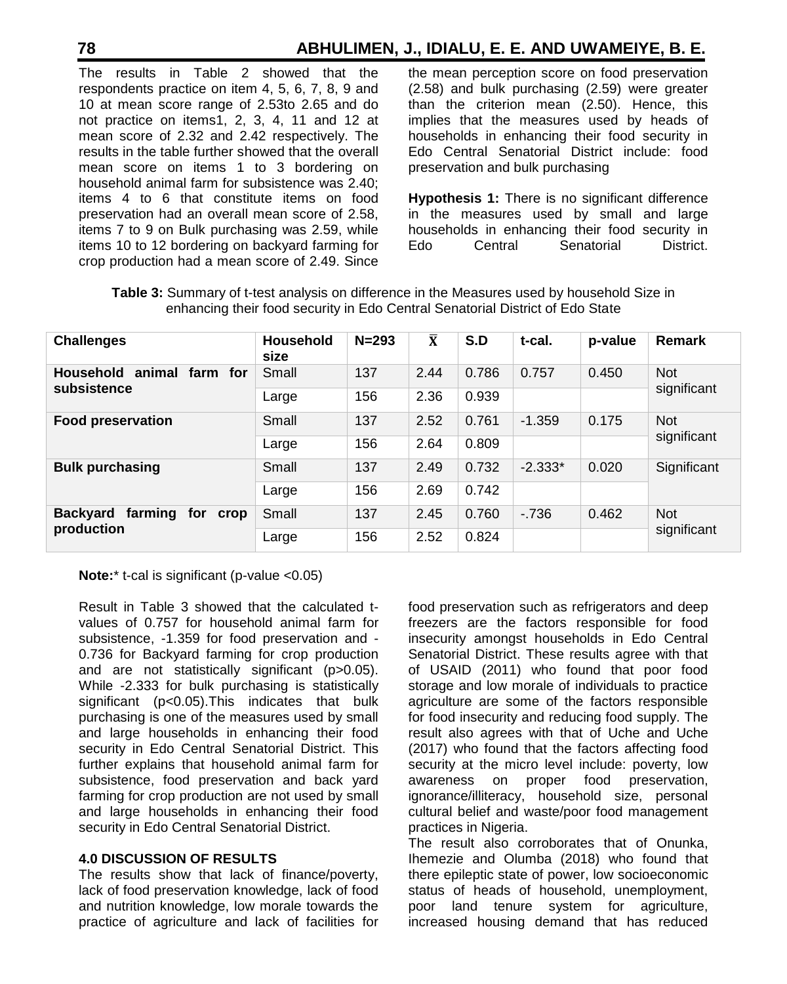The results in Table 2 showed that the respondents practice on item 4, 5, 6, 7, 8, 9 and 10 at mean score range of 2.53to 2.65 and do not practice on items1, 2, 3, 4, 11 and 12 at mean score of 2.32 and 2.42 respectively. The results in the table further showed that the overall mean score on items 1 to 3 bordering on household animal farm for subsistence was 2.40; items 4 to 6 that constitute items on food preservation had an overall mean score of 2.58, items 7 to 9 on Bulk purchasing was 2.59, while items 10 to 12 bordering on backyard farming for crop production had a mean score of 2.49. Since the mean perception score on food preservation (2.58) and bulk purchasing (2.59) were greater than the criterion mean (2.50). Hence, this implies that the measures used by heads of households in enhancing their food security in Edo Central Senatorial District include: food preservation and bulk purchasing

**Hypothesis 1:** There is no significant difference in the measures used by small and large households in enhancing their food security in Edo Central Senatorial District.

| <b>Challenges</b>                         | Household<br>size | $N = 293$ | $\overline{\mathbf{X}}$ | S.D   | t-cal.    | p-value | <b>Remark</b>             |
|-------------------------------------------|-------------------|-----------|-------------------------|-------|-----------|---------|---------------------------|
| <b>Household</b><br>animal farm for       | Small             | 137       | 2.44                    | 0.786 | 0.757     | 0.450   | <b>Not</b>                |
| subsistence                               | Large             | 156       | 2.36                    | 0.939 |           |         | significant               |
| <b>Food preservation</b>                  | Small             | 137       | 2.52                    | 0.761 | $-1.359$  | 0.175   | <b>Not</b><br>significant |
|                                           | Large             | 156       | 2.64                    | 0.809 |           |         |                           |
| <b>Bulk purchasing</b>                    | Small             | 137       | 2.49                    | 0.732 | $-2.333*$ | 0.020   | Significant               |
|                                           | Large             | 156       | 2.69                    | 0.742 |           |         |                           |
| farming<br><b>Backyard</b><br>for<br>crop | Small             | 137       | 2.45                    | 0.760 | $-736$    | 0.462   | <b>Not</b><br>significant |
| production                                | Large             | 156       | 2.52                    | 0.824 |           |         |                           |

**Table 3:** Summary of t-test analysis on difference in the Measures used by household Size in enhancing their food security in Edo Central Senatorial District of Edo State

**Note:**\* t-cal is significant (p-value <0.05)

Result in Table 3 showed that the calculated tvalues of 0.757 for household animal farm for subsistence, -1.359 for food preservation and - 0.736 for Backyard farming for crop production and are not statistically significant (p>0.05). While -2.333 for bulk purchasing is statistically significant (p<0.05).This indicates that bulk purchasing is one of the measures used by small and large households in enhancing their food security in Edo Central Senatorial District. This further explains that household animal farm for subsistence, food preservation and back yard farming for crop production are not used by small and large households in enhancing their food security in Edo Central Senatorial District.

# **4.0 DISCUSSION OF RESULTS**

The results show that lack of finance/poverty, lack of food preservation knowledge, lack of food and nutrition knowledge, low morale towards the practice of agriculture and lack of facilities for

food preservation such as refrigerators and deep freezers are the factors responsible for food insecurity amongst households in Edo Central Senatorial District. These results agree with that of USAID (2011) who found that poor food storage and low morale of individuals to practice agriculture are some of the factors responsible for food insecurity and reducing food supply. The result also agrees with that of Uche and Uche (2017) who found that the factors affecting food security at the micro level include: poverty, low awareness on proper food preservation, ignorance/illiteracy, household size, personal cultural belief and waste/poor food management practices in Nigeria.

The result also corroborates that of Onunka, Ihemezie and Olumba (2018) who found that there epileptic state of power, low socioeconomic status of heads of household, unemployment, poor land tenure system for agriculture, increased housing demand that has reduced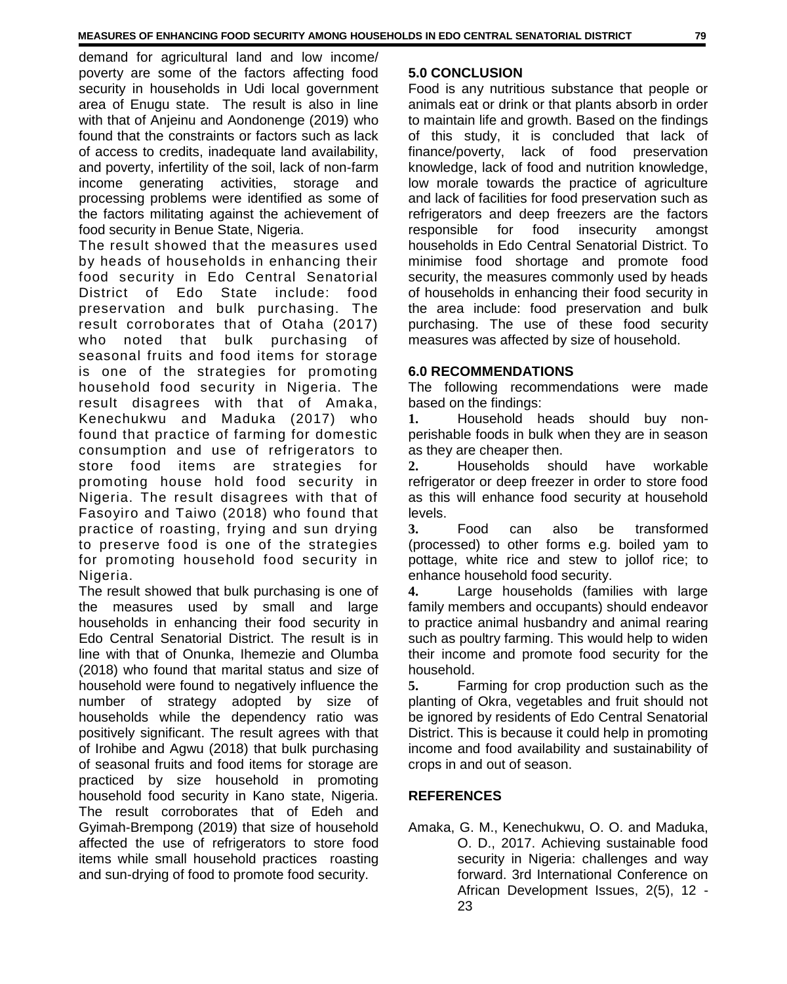demand for agricultural land and low income/ poverty are some of the factors affecting food security in households in Udi local government area of Enugu state. The result is also in line with that of Anjeinu and Aondonenge (2019) who found that the constraints or factors such as lack of access to credits, inadequate land availability, and poverty, infertility of the soil, lack of non-farm income generating activities, storage and processing problems were identified as some of the factors militating against the achievement of food security in Benue State, Nigeria.

The result showed that the measures used by heads of households in enhancing their food security in Edo Central Senatorial District of Edo State include: food preservation and bulk purchasing. The result corroborates that of Otaha (2017) who noted that bulk purchasing of seasonal fruits and food items for storage is one of the strategies for promoting household food security in Nigeria. The result disagrees with that of Amaka, Kenechukwu and Maduka (2017) who found that practice of farming for domestic consumption and use of refrigerators to store food items are strategies for promoting house hold food security in Nigeria. The result disagrees with that of Fasoyiro and Taiwo (2018) who found that practice of roasting, frying and sun drying to preserve food is one of the strategies for promoting household food security in Nigeria.

The result showed that bulk purchasing is one of the measures used by small and large households in enhancing their food security in Edo Central Senatorial District. The result is in line with that of Onunka, Ihemezie and Olumba (2018) who found that marital status and size of household were found to negatively influence the number of strategy adopted by size of households while the dependency ratio was positively significant. The result agrees with that of Irohibe and Agwu (2018) that bulk purchasing of seasonal fruits and food items for storage are practiced by size household in promoting household food security in Kano state, Nigeria. The result corroborates that of Edeh and Gyimah-Brempong (2019) that size of household affected the use of refrigerators to store food items while small household practices roasting and sun-drying of food to promote food security.

# **5.0 CONCLUSION**

Food is any nutritious substance that people or animals eat or drink or that plants absorb in order to maintain life and growth. Based on the findings of this study, it is concluded that lack of finance/poverty, lack of food preservation knowledge, lack of food and nutrition knowledge, low morale towards the practice of agriculture and lack of facilities for food preservation such as refrigerators and deep freezers are the factors responsible for food insecurity amongst households in Edo Central Senatorial District. To minimise food shortage and promote food security, the measures commonly used by heads of households in enhancing their food security in the area include: food preservation and bulk purchasing. The use of these food security measures was affected by size of household.

# **6.0 RECOMMENDATIONS**

The following recommendations were made based on the findings:

**1.** Household heads should buy nonperishable foods in bulk when they are in season as they are cheaper then.

**2.** Households should have workable refrigerator or deep freezer in order to store food as this will enhance food security at household levels.

**3.** Food can also be transformed (processed) to other forms e.g. boiled yam to pottage, white rice and stew to jollof rice; to enhance household food security.

**4.** Large households (families with large family members and occupants) should endeavor to practice animal husbandry and animal rearing such as poultry farming. This would help to widen their income and promote food security for the household.

**5.** Farming for crop production such as the planting of Okra, vegetables and fruit should not be ignored by residents of Edo Central Senatorial District. This is because it could help in promoting income and food availability and sustainability of crops in and out of season.

# **REFERENCES**

Amaka, G. M., Kenechukwu, O. O. and Maduka, O. D., 2017. Achieving sustainable food security in Nigeria: challenges and way forward. 3rd International Conference on African Development Issues, 2(5), 12 - 23